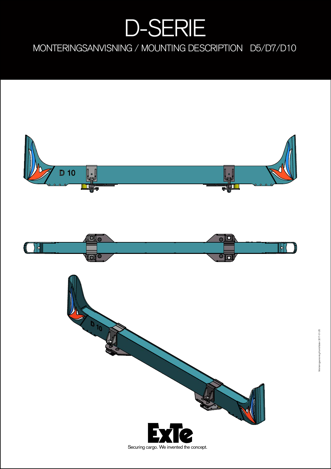## D-SERIE

MONTERINGSANVISNING / MOUNTING DESCRIPTION D5/D7/D10

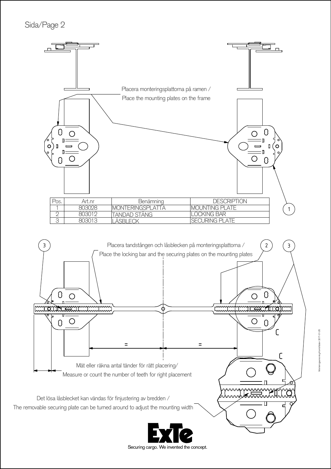Sida/Page 2

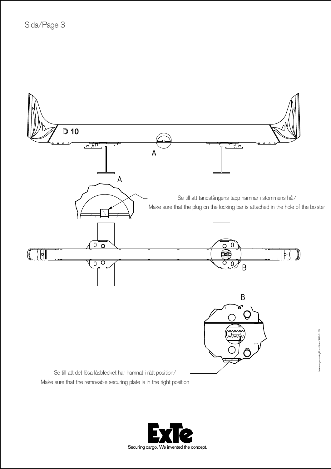

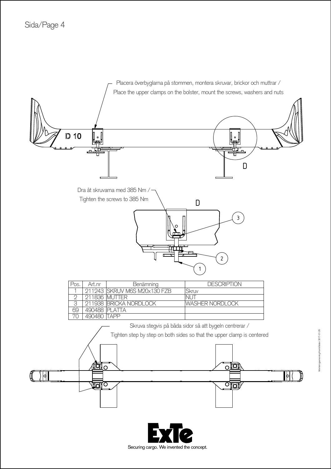

Securing cargo. We invented the concept.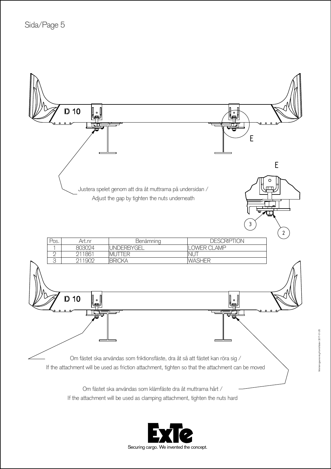

If the attachment will be used as clamping attachment, tighten the nuts hard